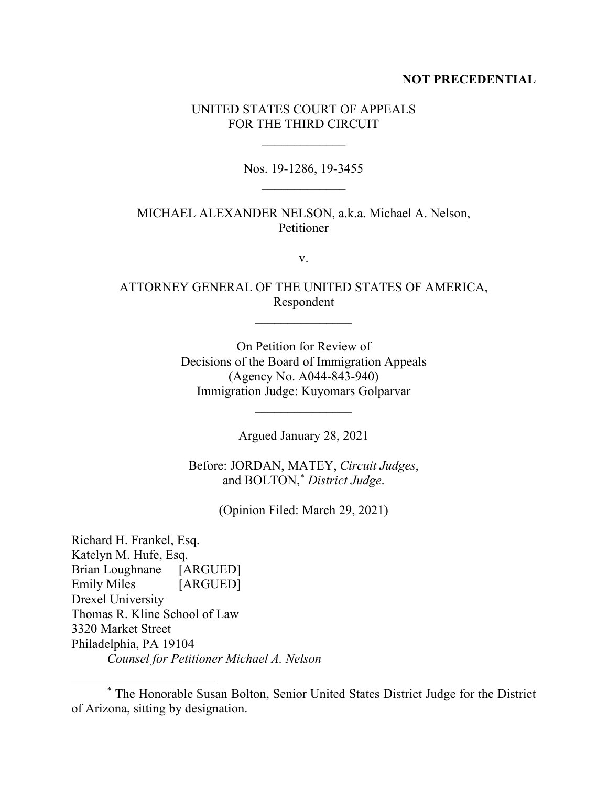### **NOT PRECEDENTIAL**

# UNITED STATES COURT OF APPEALS FOR THE THIRD CIRCUIT

 $\frac{1}{2}$ 

Nos. 19-1286, 19-3455  $\frac{1}{2}$ 

## MICHAEL ALEXANDER NELSON, a.k.a. Michael A. Nelson, Petitioner

v.

# ATTORNEY GENERAL OF THE UNITED STATES OF AMERICA, Respondent

 $\overline{\phantom{a}}$  , where  $\overline{\phantom{a}}$ 

On Petition for Review of Decisions of the Board of Immigration Appeals (Agency No. A044-843-940) Immigration Judge: Kuyomars Golparvar

Argued January 28, 2021

 $\overline{\phantom{a}}$  , where  $\overline{\phantom{a}}$ 

Before: JORDAN, MATEY, *Circuit Judges*, and BOLTON,\* *District Judge*.

(Opinion Filed: March 29, 2021)

Richard H. Frankel, Esq. Katelyn M. Hufe, Esq. Brian Loughnane [ARGUED] Emily Miles [ARGUED] Drexel University Thomas R. Kline School of Law 3320 Market Street Philadelphia, PA 19104 *Counsel for Petitioner Michael A. Nelson*

<sup>\*</sup> The Honorable Susan Bolton, Senior United States District Judge for the District of Arizona, sitting by designation.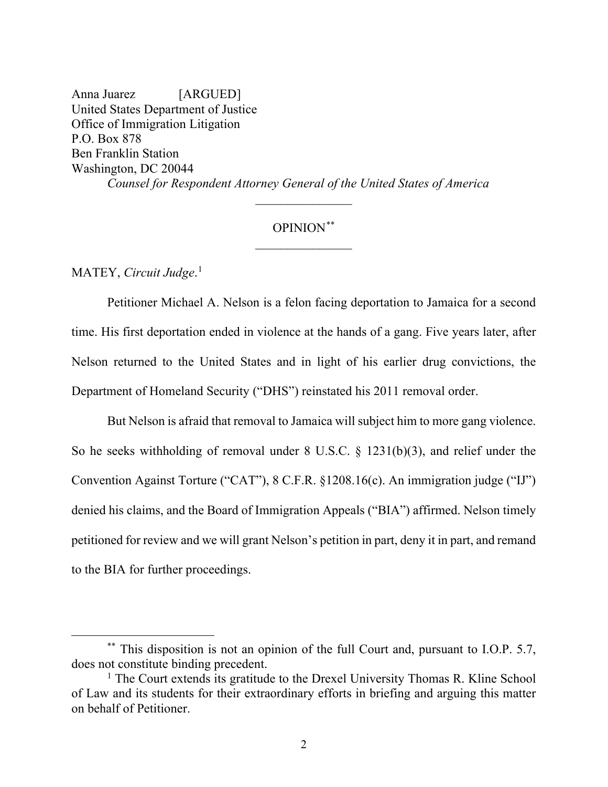Anna Juarez [ARGUED] United States Department of Justice Office of Immigration Litigation P.O. Box 878 Ben Franklin Station Washington, DC 20044 *Counsel for Respondent Attorney General of the United States of America*

# OPINION\*\*

 $\overline{\phantom{a}}$  , where  $\overline{\phantom{a}}$ 

MATEY, *Circuit Judge*. 1

Petitioner Michael A. Nelson is a felon facing deportation to Jamaica for a second time. His first deportation ended in violence at the hands of a gang. Five years later, after Nelson returned to the United States and in light of his earlier drug convictions, the Department of Homeland Security ("DHS") reinstated his 2011 removal order.

But Nelson is afraid that removal to Jamaica will subject him to more gang violence. So he seeks withholding of removal under 8 U.S.C. § 1231(b)(3), and relief under the Convention Against Torture ("CAT"), 8 C.F.R. §1208.16(c). An immigration judge ("IJ") denied his claims, and the Board of Immigration Appeals ("BIA") affirmed. Nelson timely petitioned for review and we will grant Nelson's petition in part, deny it in part, and remand to the BIA for further proceedings.

<sup>\*\*</sup> This disposition is not an opinion of the full Court and, pursuant to I.O.P. 5.7, does not constitute binding precedent.

<sup>&</sup>lt;sup>1</sup> The Court extends its gratitude to the Drexel University Thomas R. Kline School of Law and its students for their extraordinary efforts in briefing and arguing this matter on behalf of Petitioner.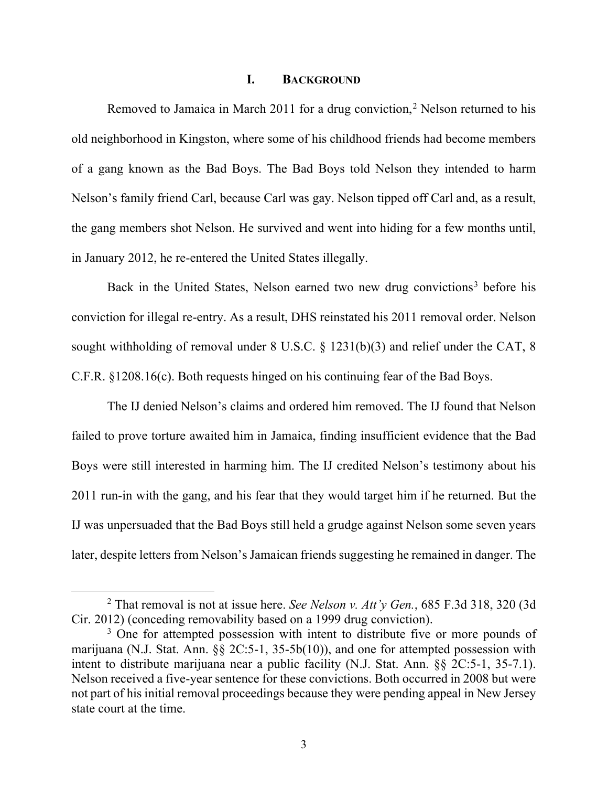#### **I. BACKGROUND**

Removed to Jamaica in March 2011 for a drug conviction,<sup>2</sup> Nelson returned to his old neighborhood in Kingston, where some of his childhood friends had become members of a gang known as the Bad Boys. The Bad Boys told Nelson they intended to harm Nelson's family friend Carl, because Carl was gay. Nelson tipped off Carl and, as a result, the gang members shot Nelson. He survived and went into hiding for a few months until, in January 2012, he re-entered the United States illegally.

Back in the United States, Nelson earned two new drug convictions<sup>3</sup> before his conviction for illegal re-entry. As a result, DHS reinstated his 2011 removal order. Nelson sought withholding of removal under 8 U.S.C. § 1231(b)(3) and relief under the CAT, 8 C.F.R. §1208.16(c). Both requests hinged on his continuing fear of the Bad Boys.

The IJ denied Nelson's claims and ordered him removed. The IJ found that Nelson failed to prove torture awaited him in Jamaica, finding insufficient evidence that the Bad Boys were still interested in harming him. The IJ credited Nelson's testimony about his 2011 run-in with the gang, and his fear that they would target him if he returned. But the IJ was unpersuaded that the Bad Boys still held a grudge against Nelson some seven years later, despite letters from Nelson's Jamaican friends suggesting he remained in danger. The

<sup>2</sup> That removal is not at issue here. *See Nelson v. Att'y Gen.*, 685 F.3d 318, 320 (3d Cir. 2012) (conceding removability based on a 1999 drug conviction).<br><sup>3</sup> One for attempted possession with intent to distribute five or more pounds of

marijuana (N.J. Stat. Ann.  $\S$ § 2C:5-1, 35-5b(10)), and one for attempted possession with intent to distribute marijuana near a public facility (N.J. Stat. Ann. §§ 2C:5-1, 35-7.1). Nelson received a five-year sentence for these convictions. Both occurred in 2008 but were not part of his initial removal proceedings because they were pending appeal in New Jersey state court at the time.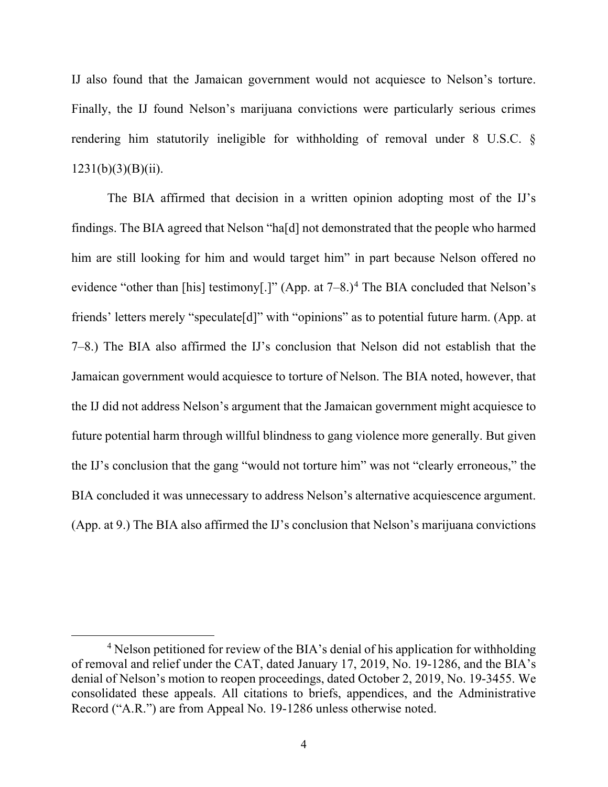IJ also found that the Jamaican government would not acquiesce to Nelson's torture. Finally, the IJ found Nelson's marijuana convictions were particularly serious crimes rendering him statutorily ineligible for withholding of removal under 8 U.S.C. §  $1231(b)(3)(B)(ii)$ .

The BIA affirmed that decision in a written opinion adopting most of the IJ's findings. The BIA agreed that Nelson "ha[d] not demonstrated that the people who harmed him are still looking for him and would target him" in part because Nelson offered no evidence "other than [his] testimony[.]" (App. at  $7-8.$ )<sup>4</sup> The BIA concluded that Nelson's friends' letters merely "speculate[d]" with "opinions" as to potential future harm. (App. at 7–8.) The BIA also affirmed the IJ's conclusion that Nelson did not establish that the Jamaican government would acquiesce to torture of Nelson. The BIA noted, however, that the IJ did not address Nelson's argument that the Jamaican government might acquiesce to future potential harm through willful blindness to gang violence more generally. But given the IJ's conclusion that the gang "would not torture him" was not "clearly erroneous," the BIA concluded it was unnecessary to address Nelson's alternative acquiescence argument. (App. at 9.) The BIA also affirmed the IJ's conclusion that Nelson's marijuana convictions

<sup>&</sup>lt;sup>4</sup> Nelson petitioned for review of the BIA's denial of his application for withholding of removal and relief under the CAT, dated January 17, 2019, No. 19-1286, and the BIA's denial of Nelson's motion to reopen proceedings, dated October 2, 2019, No. 19-3455. We consolidated these appeals. All citations to briefs, appendices, and the Administrative Record ("A.R.") are from Appeal No. 19-1286 unless otherwise noted.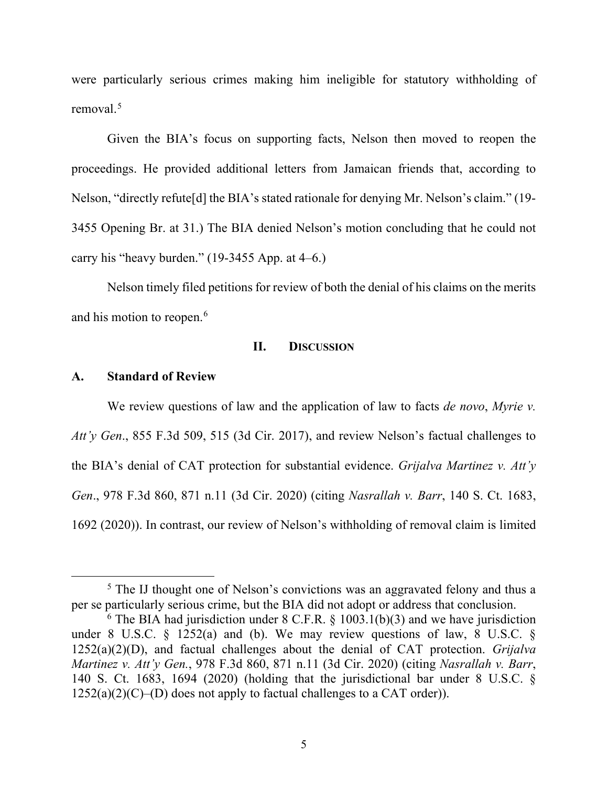were particularly serious crimes making him ineligible for statutory withholding of removal.5

Given the BIA's focus on supporting facts, Nelson then moved to reopen the proceedings. He provided additional letters from Jamaican friends that, according to Nelson, "directly refute[d] the BIA's stated rationale for denying Mr. Nelson's claim." (19- 3455 Opening Br. at 31.) The BIA denied Nelson's motion concluding that he could not carry his "heavy burden." (19-3455 App. at 4–6.)

Nelson timely filed petitions for review of both the denial of his claims on the merits and his motion to reopen. 6

## **II. DISCUSSION**

#### **A. Standard of Review**

We review questions of law and the application of law to facts *de novo*, *Myrie v. Att'y Gen*., 855 F.3d 509, 515 (3d Cir. 2017), and review Nelson's factual challenges to the BIA's denial of CAT protection for substantial evidence. *Grijalva Martinez v. Att'y Gen*., 978 F.3d 860, 871 n.11 (3d Cir. 2020) (citing *Nasrallah v. Barr*, 140 S. Ct. 1683, 1692 (2020)). In contrast, our review of Nelson's withholding of removal claim is limited

<sup>&</sup>lt;sup>5</sup> The IJ thought one of Nelson's convictions was an aggravated felony and thus a per se particularly serious crime, but the BIA did not adopt or address that conclusion.

 $6$  The BIA had jurisdiction under 8 C.F.R. § 1003.1(b)(3) and we have jurisdiction under 8 U.S.C. § 1252(a) and (b). We may review questions of law, 8 U.S.C. § 1252(a)(2)(D), and factual challenges about the denial of CAT protection. *Grijalva Martinez v. Att'y Gen.*, 978 F.3d 860, 871 n.11 (3d Cir. 2020) (citing *Nasrallah v. Barr*, 140 S. Ct. 1683, 1694 (2020) (holding that the jurisdictional bar under 8 U.S.C. §  $1252(a)(2)(C)$ –(D) does not apply to factual challenges to a CAT order)).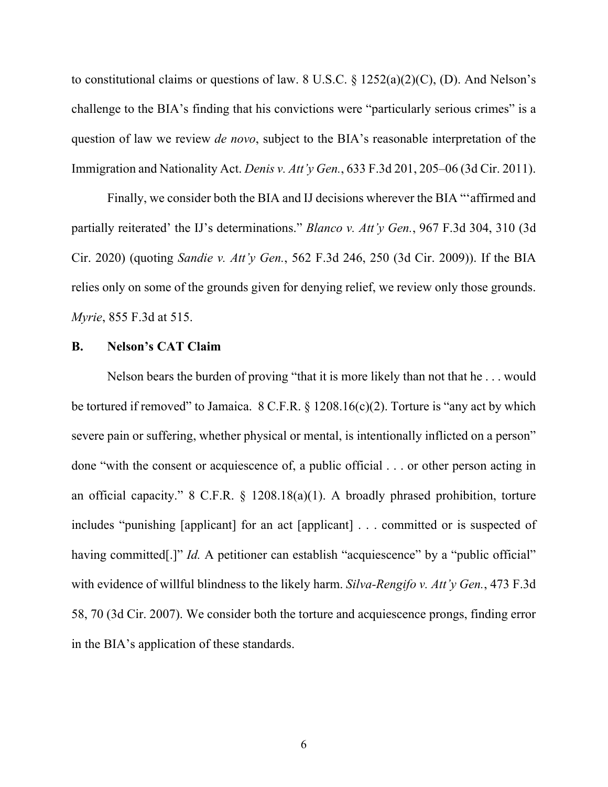to constitutional claims or questions of law. 8 U.S.C.  $\S 1252(a)(2)(C)$ , (D). And Nelson's challenge to the BIA's finding that his convictions were "particularly serious crimes" is a question of law we review *de novo*, subject to the BIA's reasonable interpretation of the Immigration and Nationality Act. *Denis v. Att'y Gen.*, 633 F.3d 201, 205–06 (3d Cir. 2011).

Finally, we consider both the BIA and IJ decisions wherever the BIA "'affirmed and partially reiterated' the IJ's determinations." *Blanco v. Att'y Gen.*, 967 F.3d 304, 310 (3d Cir. 2020) (quoting *Sandie v. Att'y Gen.*, 562 F.3d 246, 250 (3d Cir. 2009)). If the BIA relies only on some of the grounds given for denying relief, we review only those grounds. *Myrie*, 855 F.3d at 515.

## **B. Nelson's CAT Claim**

Nelson bears the burden of proving "that it is more likely than not that he . . . would be tortured if removed" to Jamaica. 8 C.F.R. § 1208.16(c)(2). Torture is "any act by which severe pain or suffering, whether physical or mental, is intentionally inflicted on a person" done "with the consent or acquiescence of, a public official . . . or other person acting in an official capacity." 8 C.F.R. § 1208.18(a)(1). A broadly phrased prohibition, torture includes "punishing [applicant] for an act [applicant] . . . committed or is suspected of having committed<sup>[1]"</sup> *Id.* A petitioner can establish "acquiescence" by a "public official" with evidence of willful blindness to the likely harm. *Silva-Rengifo v. Att'y Gen.*, 473 F.3d 58, 70 (3d Cir. 2007). We consider both the torture and acquiescence prongs, finding error in the BIA's application of these standards.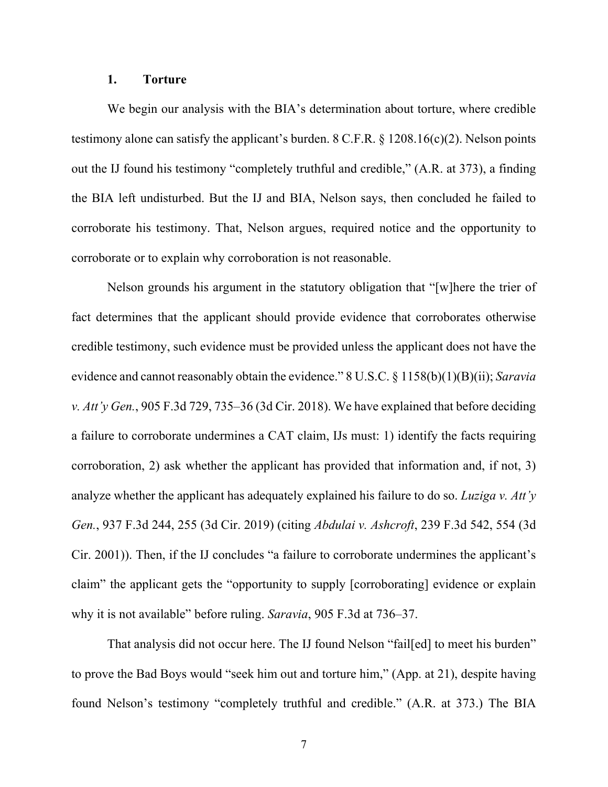#### **1. Torture**

We begin our analysis with the BIA's determination about torture, where credible testimony alone can satisfy the applicant's burden.  $8 \text{ C.F.R.}$  § 1208.16(c)(2). Nelson points out the IJ found his testimony "completely truthful and credible," (A.R. at 373), a finding the BIA left undisturbed. But the IJ and BIA, Nelson says, then concluded he failed to corroborate his testimony. That, Nelson argues, required notice and the opportunity to corroborate or to explain why corroboration is not reasonable.

Nelson grounds his argument in the statutory obligation that "[w]here the trier of fact determines that the applicant should provide evidence that corroborates otherwise credible testimony, such evidence must be provided unless the applicant does not have the evidence and cannot reasonably obtain the evidence." 8 U.S.C. § 1158(b)(1)(B)(ii); *Saravia v. Att'y Gen.*, 905 F.3d 729, 735–36 (3d Cir. 2018). We have explained that before deciding a failure to corroborate undermines a CAT claim, IJs must: 1) identify the facts requiring corroboration, 2) ask whether the applicant has provided that information and, if not, 3) analyze whether the applicant has adequately explained his failure to do so. *Luziga v. Att'y Gen.*, 937 F.3d 244, 255 (3d Cir. 2019) (citing *Abdulai v. Ashcroft*, 239 F.3d 542, 554 (3d Cir. 2001)). Then, if the IJ concludes "a failure to corroborate undermines the applicant's claim" the applicant gets the "opportunity to supply [corroborating] evidence or explain why it is not available" before ruling. *Saravia*, 905 F.3d at 736–37.

That analysis did not occur here. The IJ found Nelson "fail[ed] to meet his burden" to prove the Bad Boys would "seek him out and torture him," (App. at 21), despite having found Nelson's testimony "completely truthful and credible." (A.R. at 373.) The BIA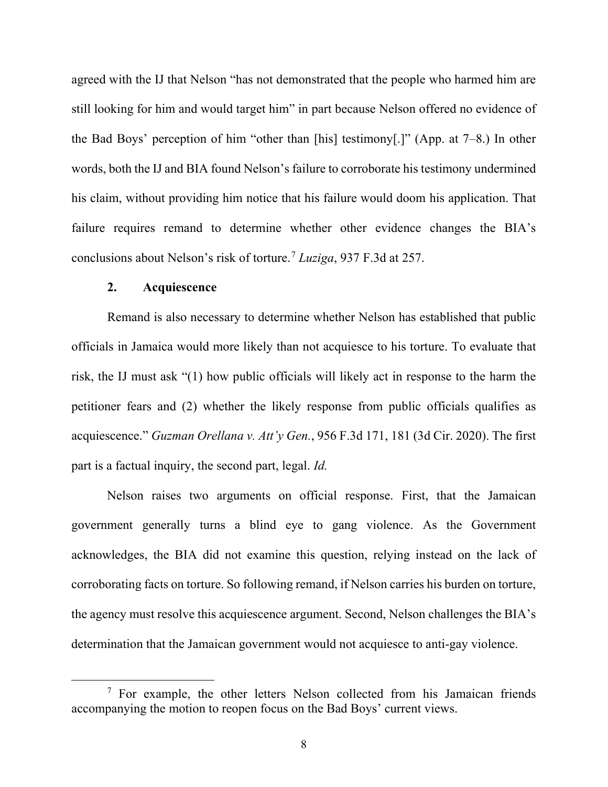agreed with the IJ that Nelson "has not demonstrated that the people who harmed him are still looking for him and would target him" in part because Nelson offered no evidence of the Bad Boys' perception of him "other than [his] testimony[.]" (App. at 7–8.) In other words, both the IJ and BIA found Nelson's failure to corroborate his testimony undermined his claim, without providing him notice that his failure would doom his application. That failure requires remand to determine whether other evidence changes the BIA's conclusions about Nelson's risk of torture. <sup>7</sup> *Luziga*, 937 F.3d at 257.

## **2. Acquiescence**

Remand is also necessary to determine whether Nelson has established that public officials in Jamaica would more likely than not acquiesce to his torture. To evaluate that risk, the IJ must ask "(1) how public officials will likely act in response to the harm the petitioner fears and (2) whether the likely response from public officials qualifies as acquiescence." *Guzman Orellana v. Att'y Gen.*, 956 F.3d 171, 181 (3d Cir. 2020). The first part is a factual inquiry, the second part, legal. *Id.*

Nelson raises two arguments on official response. First, that the Jamaican government generally turns a blind eye to gang violence. As the Government acknowledges, the BIA did not examine this question, relying instead on the lack of corroborating facts on torture. So following remand, if Nelson carries his burden on torture, the agency must resolve this acquiescence argument. Second, Nelson challenges the BIA's determination that the Jamaican government would not acquiesce to anti-gay violence.

 $7$  For example, the other letters Nelson collected from his Jamaican friends accompanying the motion to reopen focus on the Bad Boys' current views.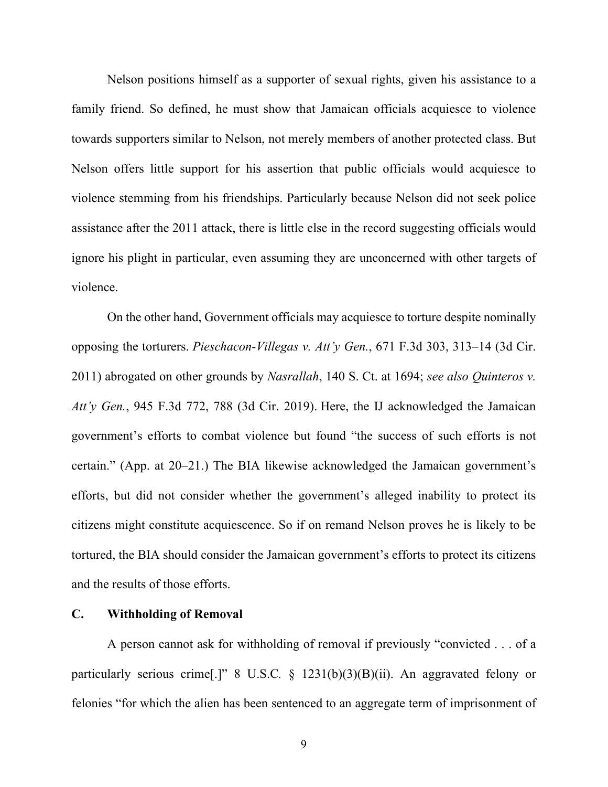Nelson positions himself as a supporter of sexual rights, given his assistance to a family friend. So defined, he must show that Jamaican officials acquiesce to violence towards supporters similar to Nelson, not merely members of another protected class. But Nelson offers little support for his assertion that public officials would acquiesce to violence stemming from his friendships. Particularly because Nelson did not seek police assistance after the 2011 attack, there is little else in the record suggesting officials would ignore his plight in particular, even assuming they are unconcerned with other targets of violence.

On the other hand, Government officials may acquiesce to torture despite nominally opposing the torturers. *Pieschacon-Villegas v. Att'y Gen.*, 671 F.3d 303, 313–14 (3d Cir. 2011) abrogated on other grounds by *Nasrallah*, 140 S. Ct. at 1694; *see also Quinteros v. Att'y Gen.*, 945 F.3d 772, 788 (3d Cir. 2019). Here, the IJ acknowledged the Jamaican government's efforts to combat violence but found "the success of such efforts is not certain." (App. at 20–21.) The BIA likewise acknowledged the Jamaican government's efforts, but did not consider whether the government's alleged inability to protect its citizens might constitute acquiescence. So if on remand Nelson proves he is likely to be tortured, the BIA should consider the Jamaican government's efforts to protect its citizens and the results of those efforts.

## **C. Withholding of Removal**

A person cannot ask for withholding of removal if previously "convicted . . . of a particularly serious crime<sup>[1]</sup> 8 U.S.C. § 1231(b)(3)(B)(ii). An aggravated felony or felonies "for which the alien has been sentenced to an aggregate term of imprisonment of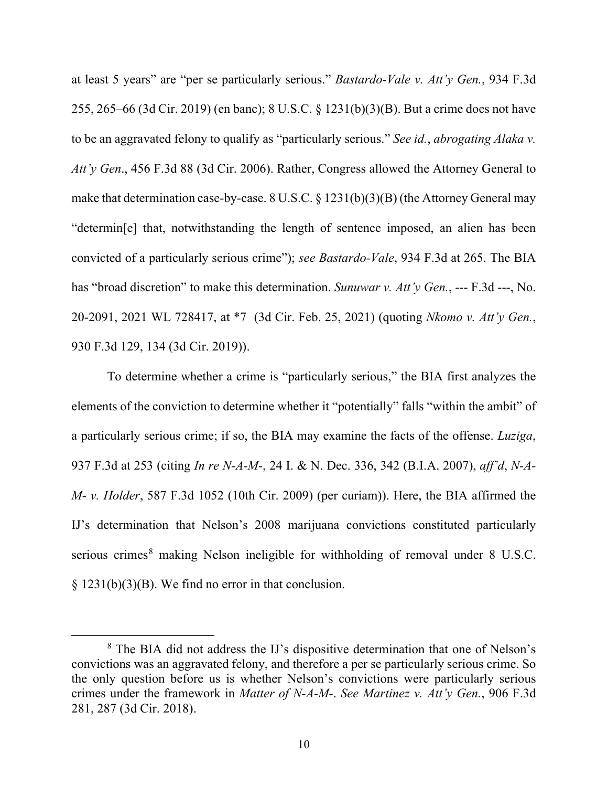at least 5 years" are "per se particularly serious." *Bastardo-Vale v. Att'y Gen.*, 934 F.3d 255, 265–66 (3d Cir. 2019) (en banc); 8 U.S.C. § 1231(b)(3)(B). But a crime does not have to be an aggravated felony to qualify as "particularly serious." *See id.*, *abrogating Alaka v. Att'y Gen*., 456 F.3d 88 (3d Cir. 2006). Rather, Congress allowed the Attorney General to make that determination case-by-case. 8 U.S.C. § 1231(b)(3)(B) (the Attorney General may "determin[e] that, notwithstanding the length of sentence imposed, an alien has been convicted of a particularly serious crime"); *see Bastardo-Vale*, 934 F.3d at 265. The BIA has "broad discretion" to make this determination. *Sunuwar v. Att'y Gen.*, --- F.3d ---, No. 20-2091, 2021 WL 728417, at \*7 (3d Cir. Feb. 25, 2021) (quoting *Nkomo v. Att'y Gen.*, 930 F.3d 129, 134 (3d Cir. 2019)).

To determine whether a crime is "particularly serious," the BIA first analyzes the elements of the conviction to determine whether it "potentially" falls "within the ambit" of a particularly serious crime; if so, the BIA may examine the facts of the offense. *Luziga*, 937 F.3d at 253 (citing *In re N-A-M-*, 24 I. & N. Dec. 336, 342 (B.I.A. 2007), *aff'd*, *N-A-M- v. Holder*, 587 F.3d 1052 (10th Cir. 2009) (per curiam)). Here, the BIA affirmed the IJ's determination that Nelson's 2008 marijuana convictions constituted particularly serious crimes<sup>8</sup> making Nelson ineligible for withholding of removal under 8 U.S.C.  $§ 1231(b)(3)(B)$ . We find no error in that conclusion.

<sup>8</sup> The BIA did not address the IJ's dispositive determination that one of Nelson's convictions was an aggravated felony, and therefore a per se particularly serious crime. So the only question before us is whether Nelson's convictions were particularly serious crimes under the framework in *Matter of N-A-M-*. *See Martinez v. Att'y Gen.*, 906 F.3d 281, 287 (3d Cir. 2018).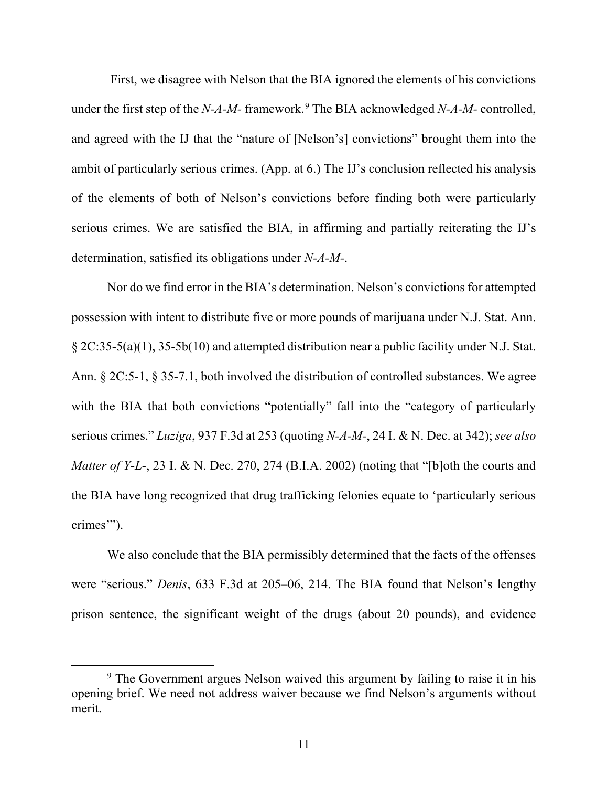First, we disagree with Nelson that the BIA ignored the elements of his convictions under the first step of the *N-A-M-* framework. <sup>9</sup> The BIA acknowledged *N-A-M-* controlled, and agreed with the IJ that the "nature of [Nelson's] convictions" brought them into the ambit of particularly serious crimes. (App. at 6.) The IJ's conclusion reflected his analysis of the elements of both of Nelson's convictions before finding both were particularly serious crimes. We are satisfied the BIA, in affirming and partially reiterating the IJ's determination, satisfied its obligations under *N-A-M-*.

Nor do we find error in the BIA's determination. Nelson's convictions for attempted possession with intent to distribute five or more pounds of marijuana under N.J. Stat. Ann. § 2C:35-5(a)(1), 35-5b(10) and attempted distribution near a public facility under N.J. Stat. Ann. § 2C:5-1, § 35-7.1, both involved the distribution of controlled substances. We agree with the BIA that both convictions "potentially" fall into the "category of particularly serious crimes." *Luziga*, 937 F.3d at 253 (quoting *N-A-M-*, 24 I. & N. Dec. at 342); *see also Matter of Y-L-*, 23 I. & N. Dec. 270, 274 (B.I.A. 2002) (noting that "[b]oth the courts and the BIA have long recognized that drug trafficking felonies equate to 'particularly serious crimes'").

We also conclude that the BIA permissibly determined that the facts of the offenses were "serious." *Denis*, 633 F.3d at 205–06, 214. The BIA found that Nelson's lengthy prison sentence, the significant weight of the drugs (about 20 pounds), and evidence

<sup>&</sup>lt;sup>9</sup> The Government argues Nelson waived this argument by failing to raise it in his opening brief. We need not address waiver because we find Nelson's arguments without merit.